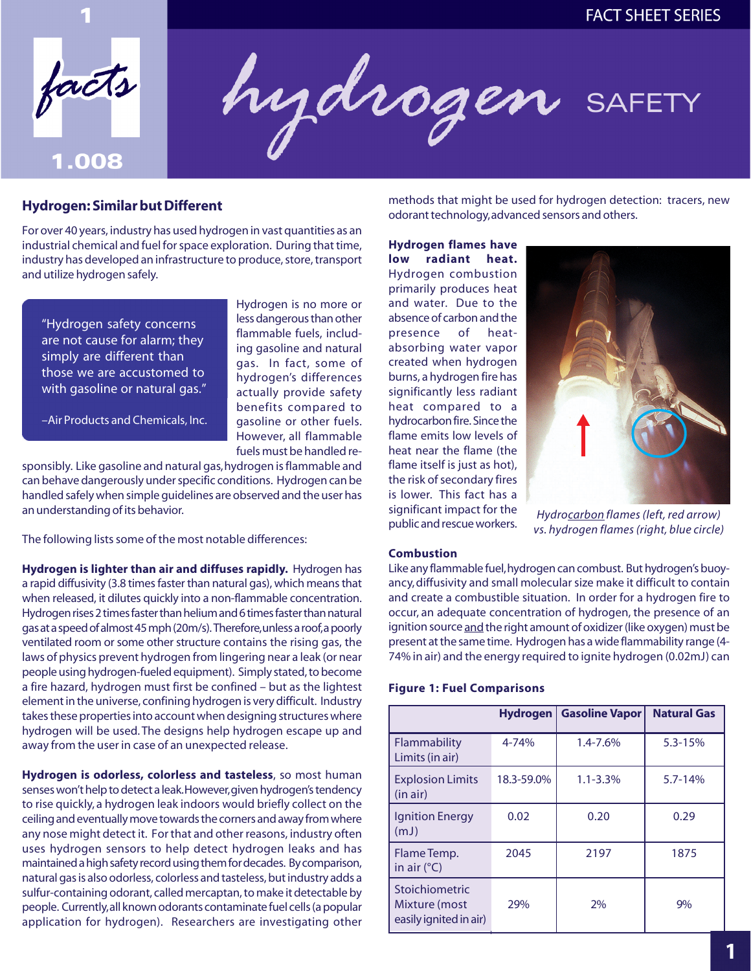



# **Hydrogen: Similar but Different**

For over 40 years, industry has used hydrogen in vast quantities as an industrial chemical and fuel for space exploration. During that time, industry has developed an infrastructure to produce, store, transport and utilize hydrogen safely.

"Hydrogen safety concerns are not cause for alarm; they simply are different than those we are accustomed to with gasoline or natural gas."

less dangerous than other flammable fuels, including gasoline and natural gas. In fact, some of hydrogen's differences actually provide safety benefits compared to gasoline or other fuels. However, all flammable fuels must be handled re-

Hydrogen is no more or

–Air Products and Chemicals, Inc.

sponsibly. Like gasoline and natural gas, hydrogen is flammable and can behave dangerously under specific conditions. Hydrogen can be handled safely when simple guidelines are observed and the user has an understanding of its behavior.

The following lists some of the most notable differences:

**Hydrogen is lighter than air and diffuses rapidly.** Hydrogen has a rapid diffusivity (3.8 times faster than natural gas), which means that when released, it dilutes quickly into a non-flammable concentration. Hydrogen rises 2 times faster than helium and 6 times faster than natural gas at a speed of almost 45 mph (20m/s).Therefore,unless a roof,a poorly ventilated room or some other structure contains the rising gas, the laws of physics prevent hydrogen from lingering near a leak (or near people using hydrogen-fueled equipment). Simply stated, to become a fire hazard, hydrogen must first be confined – but as the lightest element in the universe, confining hydrogen is very difficult. Industry takes these properties into account when designing structures where hydrogen will be used. The designs help hydrogen escape up and away from the user in case of an unexpected release.

**Hydrogen is odorless, colorless and tasteless**, so most human senses won't help to detect a leak.However,given hydrogen's tendency to rise quickly, a hydrogen leak indoors would briefly collect on the ceiling and eventually move towards the corners and away from where any nose might detect it. For that and other reasons, industry often uses hydrogen sensors to help detect hydrogen leaks and has maintained a high safety record using them for decades. By comparison, natural gas is also odorless, colorless and tasteless, but industry adds a sulfur-containing odorant, called mercaptan, to make it detectable by people. Currently,all known odorants contaminate fuel cells (a popular application for hydrogen). Researchers are investigating other

methods that might be used for hydrogen detection: tracers, new odorant technology, advanced sensors and others.

**Hydrogen flames have low radiant heat.**  Hydrogen combustion primarily produces heat and water. Due to the absence of carbon and the presence of heatabsorbing water vapor created when hydrogen burns, a hydrogen fire has significantly less radiant heat compared to a hydrocarbon fire. Since the flame emits low levels of heat near the flame (the flame itself is just as hot), the risk of secondary fires is lower. This fact has a



significant impact for the *Hydrocarbon flames (left, red arrow)* public and rescue workers. *vs. hydrogen flames (right, blue circle)* 

#### **Combustion**

Like any flammable fuel,hydrogen can combust. But hydrogen's buoyancy, diffusivity and small molecular size make it difficult to contain and create a combustible situation. In order for a hydrogen fire to occur, an adequate concentration of hydrogen, the presence of an ignition source and the right amount of oxidizer (like oxygen) must be present at the same time. Hydrogen has a wide flammability range (4- 74% in air) and the energy required to ignite hydrogen (0.02mJ) can

#### **Figure 1: Fuel Comparisons**

|                                                           | <b>Hydrogen</b> | <b>Gasoline Vapor</b> | <b>Natural Gas</b> |
|-----------------------------------------------------------|-----------------|-----------------------|--------------------|
| Flammability<br>Limits (in air)                           | 4-74%           | 1.4-7.6%              | $5.3 - 15%$        |
| <b>Explosion Limits</b><br>(in air)                       | 18.3-59.0%      | $1.1 - 3.3%$          | $5.7 - 14%$        |
| <b>Ignition Energy</b><br>(mJ)                            | 0.02            | 0.20                  | 0.29               |
| Flame Temp.<br>in air $(^{\circ}C)$                       | 2045            | 2197                  | 1875               |
| Stoichiometric<br>Mixture (most<br>easily ignited in air) | 29%             | 2%                    | $9\%$              |